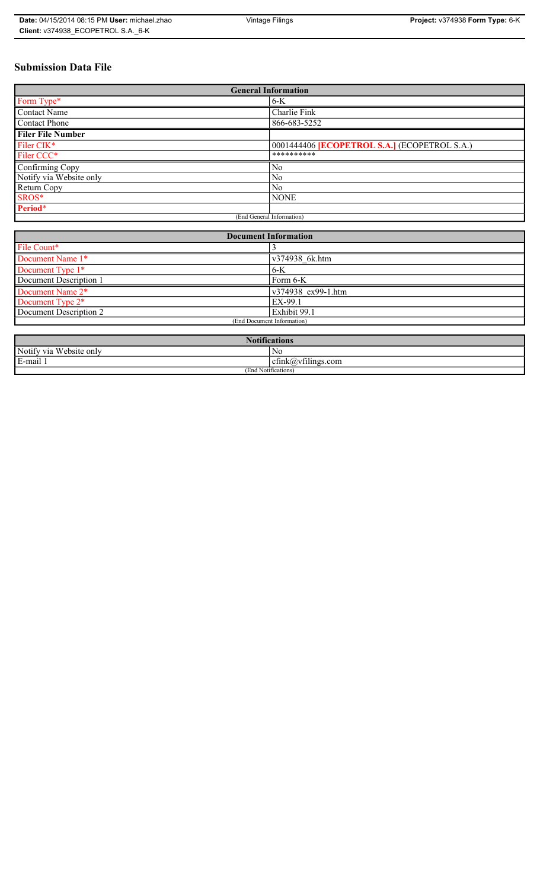# **Submission Data File**

| <b>General Information</b> |                                                     |
|----------------------------|-----------------------------------------------------|
| Form Type*                 | $6-K$                                               |
| <b>Contact Name</b>        | Charlie Fink                                        |
| <b>Contact Phone</b>       | 866-683-5252                                        |
| <b>Filer File Number</b>   |                                                     |
| Filer CIK <sup>*</sup>     | 0001444406 <b>[ECOPETROL S.A.]</b> (ECOPETROL S.A.) |
| Filer CCC*                 | **********                                          |
| Confirming Copy            | No                                                  |
| Notify via Website only    | No                                                  |
| <b>Return Copy</b>         | N <sub>0</sub>                                      |
| SROS*                      | <b>NONE</b>                                         |
| Period*                    |                                                     |
| (End General Information)  |                                                     |

| <b>Document Information</b> |                    |
|-----------------------------|--------------------|
| File Count*                 |                    |
| Document Name 1*            | v374938 6k.htm     |
| Document Type 1*            | $6-K$              |
| Document Description 1      | Form 6-K           |
| Document Name 2*            | v374938 ex99-1.htm |
| Document Type 2*            | EX-99.1            |
| Document Description 2      | Exhibit 99.1       |
| (End Document Information)  |                    |
|                             |                    |

| . •<br>$\blacksquare$<br>$\blacksquare$<br>tifications |                                                  |
|--------------------------------------------------------|--------------------------------------------------|
| Notify via<br>Website only                             | N0                                               |
| $\cdot$<br>$\blacksquare$<br>$E$ -mail.                | $\sim$ $\cdot$<br>$\sim$<br>cfink(a)vfilings.com |
| (End Notifications)                                    |                                                  |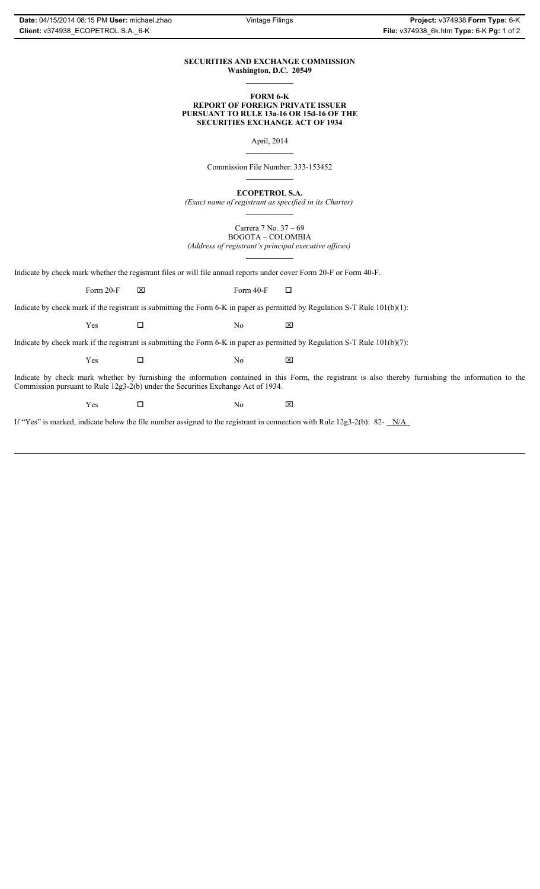## **SECURITIES AND EXCHANGE COMMISSION Washington, D.C. 20549**

## **FORM 6-K REPORT OF FOREIGN PRIVATE ISSUER PURSUANT TO RULE 13a-16 OR 15d-16 OF THE SECURITIES EXCHANGE ACT OF 1934**

April, 2014

Commission File Number: 333-153452

**ECOPETROL S.A.**

*(Exact name of registrant as specified in its Charter)*

Carrera 7 No. 37 – 69 BOGOTA – COLOMBIA *(Address of registrant's principal executive offices)*

Indicate by check mark whether the registrant files or will file annual reports under cover Form 20-F or Form 40-F.

Form 20-F  $\boxtimes$  Form 40-F  $\Box$ 

Indicate by check mark if the registrant is submitting the Form 6-K in paper as permitted by Regulation S-T Rule 101(b)(1):

 $Yes$   $\Box$  No  $X$ 

Indicate by check mark if the registrant is submitting the Form 6-K in paper as permitted by Regulation S-T Rule 101(b)(7):

 $Yes$   $\Box$  No  $X$ 

Indicate by check mark whether by furnishing the information contained in this Form, the registrant is also thereby furnishing the information to the Commission pursuant to Rule 12g3-2(b) under the Securities Exchange Act of 1934.

 $Yes$   $\Box$  No  $X$ 

If "Yes" is marked, indicate below the file number assigned to the registrant in connection with Rule 12g3-2(b): 82- N/A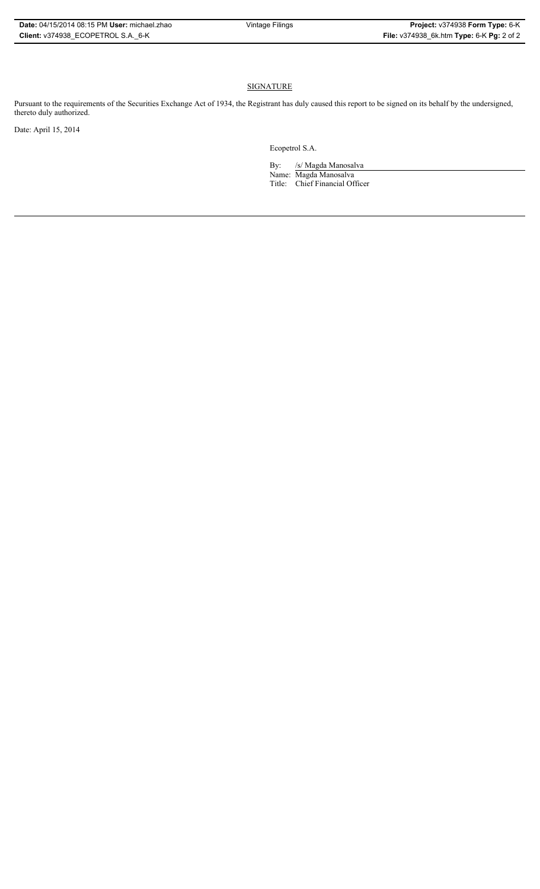| Date: 04/15/2014 08:15 PM User: michael.zhao |
|----------------------------------------------|
| Client: v374938 ECOPETROL S.A. 6-K           |

# **SIGNATURE**

Pursuant to the requirements of the Securities Exchange Act of 1934, the Registrant has duly caused this report to be signed on its behalf by the undersigned, thereto duly authorized.

Date: April 15, 2014

Ecopetrol S.A.

By: /s/ Magda Manosalva Name: Magda Manosalva Title: Chief Financial Officer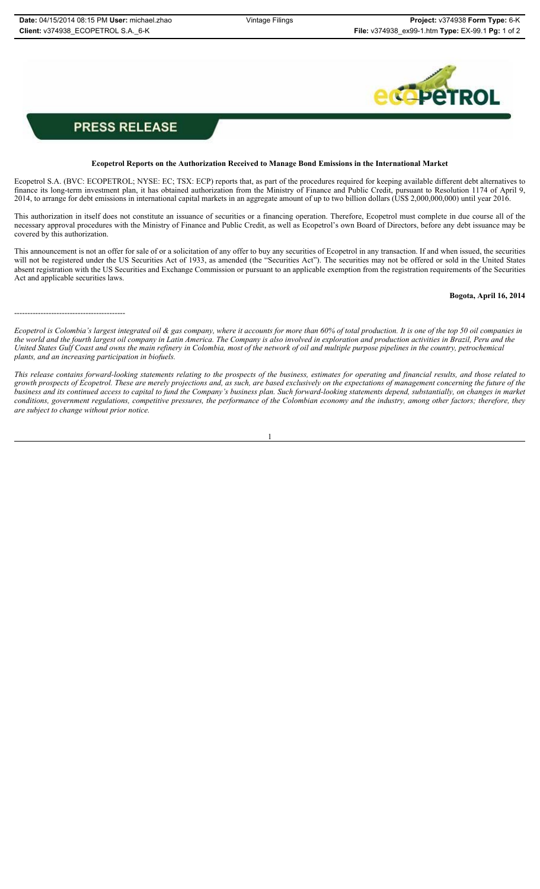------------------------------------------



# **PRESS RELEASE**

### **Ecopetrol Reports on the Authorization Received to Manage Bond Emissions in the International Market**

Ecopetrol S.A. (BVC: ECOPETROL; NYSE: EC; TSX: ECP) reports that, as part of the procedures required for keeping available different debt alternatives to finance its long-term investment plan, it has obtained authorization from the Ministry of Finance and Public Credit, pursuant to Resolution 1174 of April 9, 2014, to arrange for debt emissions in international capital markets in an aggregate amount of up to two billion dollars (US\$ 2,000,000,000) until year 2016.

This authorization in itself does not constitute an issuance of securities or a financing operation. Therefore, Ecopetrol must complete in due course all of the necessary approval procedures with the Ministry of Finance and Public Credit, as well as Ecopetrol's own Board of Directors, before any debt issuance may be covered by this authorization.

This announcement is not an offer for sale of or a solicitation of any offer to buy any securities of Ecopetrol in any transaction. If and when issued, the securities will not be registered under the US Securities Act of 1933, as amended (the "Securities Act"). The securities may not be offered or sold in the United States absent registration with the US Securities and Exchange Commission or pursuant to an applicable exemption from the registration requirements of the Securities Act and applicable securities laws.

### **Bogota, April 16, 2014**

*Ecopetrol is Colombia's largest integrated oil & gas company, where it accounts for more than 60% of total production. It is one of the top 50 oil companies in the world and the fourth largest oil company in Latin America. The Company is also involved in exploration and production activities in Brazil, Peru and the United States Gulf Coast and owns the main refinery in Colombia, most of the network of oil and multiple purpose pipelines in the country, petrochemical plants, and an increasing participation in biofuels.*

*This release contains forward-looking statements relating to the prospects of the business, estimates for operating and financial results, and those related to growth prospects of Ecopetrol. These are merely projections and, as such, are based exclusively on the expectations of management concerning the future of the business and its continued access to capital to fund the Company's business plan. Such forward-looking statements depend, substantially, on changes in market conditions, government regulations, competitive pressures, the performance of the Colombian economy and the industry, among other factors; therefore, they are subject to change without prior notice.*

1